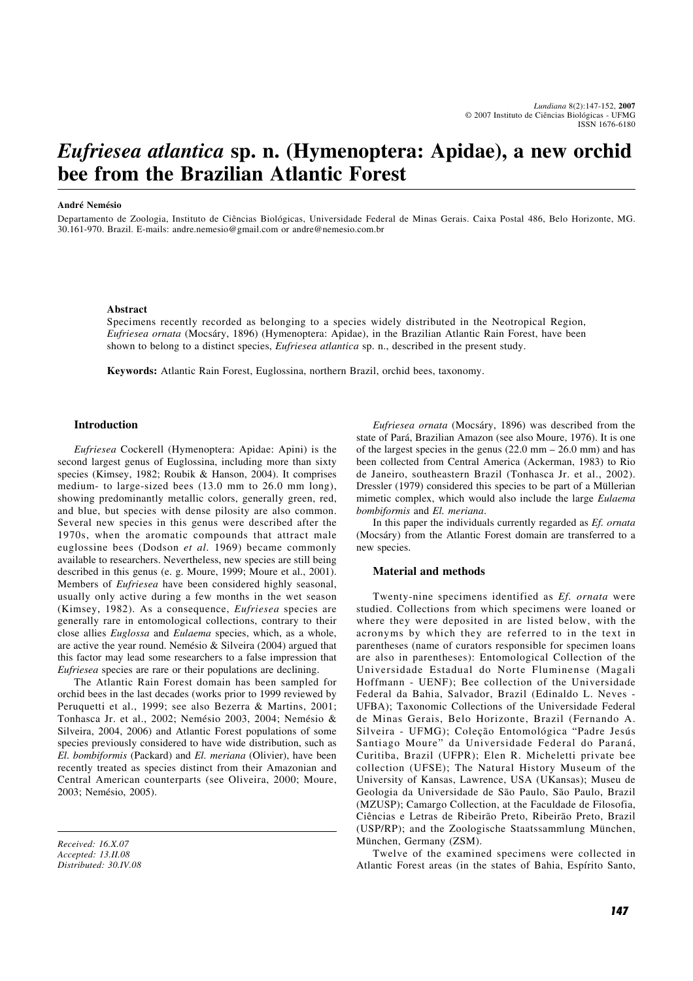# *Eufriesea atlantica* **sp. n. (Hymenoptera: Apidae), a new orchid bee from the Brazilian Atlantic Forest**

#### **André Nemésio**

Departamento de Zoologia, Instituto de Ciências Biológicas, Universidade Federal de Minas Gerais. Caixa Postal 486, Belo Horizonte, MG. 30.161-970. Brazil. E-mails: andre.nemesio@gmail.com or andre@nemesio.com.br

#### **Abstract**

Specimens recently recorded as belonging to a species widely distributed in the Neotropical Region, *Eufriesea ornata* (Mocsáry, 1896) (Hymenoptera: Apidae), in the Brazilian Atlantic Rain Forest, have been shown to belong to a distinct species, *Eufriesea atlantica* sp. n., described in the present study.

**Keywords:** Atlantic Rain Forest, Euglossina, northern Brazil, orchid bees, taxonomy.

## **Introduction**

*Eufriesea* Cockerell (Hymenoptera: Apidae: Apini) is the second largest genus of Euglossina, including more than sixty species (Kimsey, 1982; Roubik & Hanson, 2004). It comprises medium- to large-sized bees (13.0 mm to 26.0 mm long), showing predominantly metallic colors, generally green, red, and blue, but species with dense pilosity are also common. Several new species in this genus were described after the 1970s, when the aromatic compounds that attract male euglossine bees (Dodson *et al.* 1969) became commonly available to researchers. Nevertheless, new species are still being described in this genus (e. g. Moure, 1999; Moure et al., 2001). Members of *Eufriesea* have been considered highly seasonal, usually only active during a few months in the wet season (Kimsey, 1982). As a consequence, *Eufriesea* species are generally rare in entomological collections, contrary to their close allies *Euglossa* and *Eulaema* species, which, as a whole, are active the year round. Nemésio & Silveira (2004) argued that this factor may lead some researchers to a false impression that *Eufriesea* species are rare or their populations are declining.

The Atlantic Rain Forest domain has been sampled for orchid bees in the last decades (works prior to 1999 reviewed by Peruquetti et al., 1999; see also Bezerra & Martins, 2001; Tonhasca Jr. et al., 2002; Nemésio 2003, 2004; Nemésio & Silveira, 2004, 2006) and Atlantic Forest populations of some species previously considered to have wide distribution, such as *El. bombiformis* (Packard) and *El. meriana* (Olivier), have been recently treated as species distinct from their Amazonian and Central American counterparts (see Oliveira, 2000; Moure, 2003; Nemésio, 2005).

*Received: 16.X.07 Accepted: 13.II.08 Distributed: 30.IV.08*

*Eufriesea ornata* (Mocsáry, 1896) was described from the state of Pará, Brazilian Amazon (see also Moure, 1976). It is one of the largest species in the genus  $(22.0 \text{ mm} - 26.0 \text{ mm})$  and has been collected from Central America (Ackerman, 1983) to Rio de Janeiro, southeastern Brazil (Tonhasca Jr. et al., 2002). Dressler (1979) considered this species to be part of a Müllerian mimetic complex, which would also include the large *Eulaema bombiformis* and *El. meriana*.

In this paper the individuals currently regarded as *Ef. ornata* (Mocsáry) from the Atlantic Forest domain are transferred to a new species.

#### **Material and methods**

Twenty-nine specimens identified as *Ef. ornata* were studied. Collections from which specimens were loaned or where they were deposited in are listed below, with the acronyms by which they are referred to in the text in parentheses (name of curators responsible for specimen loans are also in parentheses): Entomological Collection of the Universidade Estadual do Norte Fluminense (Magali Hoffmann - UENF); Bee collection of the Universidade Federal da Bahia, Salvador, Brazil (Edinaldo L. Neves - UFBA); Taxonomic Collections of the Universidade Federal de Minas Gerais, Belo Horizonte, Brazil (Fernando A. Silveira - UFMG); Coleção Entomológica "Padre Jesús Santiago Moure" da Universidade Federal do Paraná, Curitiba, Brazil (UFPR); Elen R. Micheletti private bee collection (UFSE); The Natural History Museum of the University of Kansas, Lawrence, USA (UKansas); Museu de Geologia da Universidade de São Paulo, São Paulo, Brazil (MZUSP); Camargo Collection, at the Faculdade de Filosofia, Ciências e Letras de Ribeirão Preto, Ribeirão Preto, Brazil (USP/RP); and the Zoologische Staatssammlung München, München, Germany (ZSM).

Twelve of the examined specimens were collected in Atlantic Forest areas (in the states of Bahia, Espírito Santo,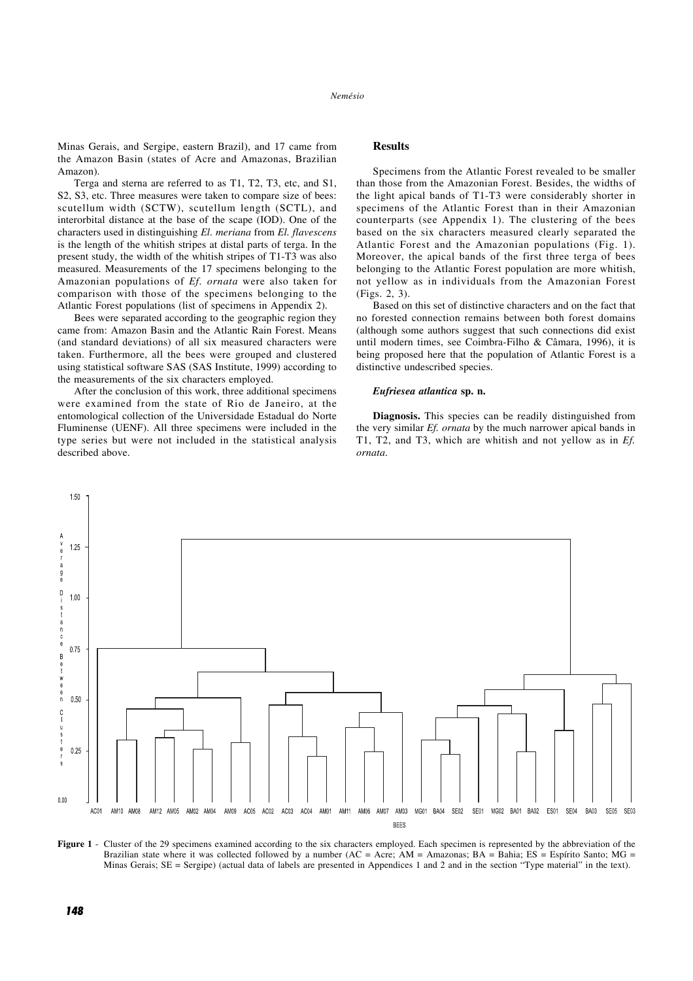Minas Gerais, and Sergipe, eastern Brazil), and 17 came from the Amazon Basin (states of Acre and Amazonas, Brazilian Amazon).

Terga and sterna are referred to as T1, T2, T3, etc, and S1, S2, S3, etc. Three measures were taken to compare size of bees: scutellum width (SCTW), scutellum length (SCTL), and interorbital distance at the base of the scape (IOD). One of the characters used in distinguishing *El. meriana* from *El. flavescens* is the length of the whitish stripes at distal parts of terga. In the present study, the width of the whitish stripes of T1-T3 was also measured. Measurements of the 17 specimens belonging to the Amazonian populations of *Ef. ornata* were also taken for comparison with those of the specimens belonging to the Atlantic Forest populations (list of specimens in Appendix 2).

Bees were separated according to the geographic region they came from: Amazon Basin and the Atlantic Rain Forest. Means (and standard deviations) of all six measured characters were taken. Furthermore, all the bees were grouped and clustered using statistical software SAS (SAS Institute, 1999) according to the measurements of the six characters employed.

After the conclusion of this work, three additional specimens were examined from the state of Rio de Janeiro, at the entomological collection of the Universidade Estadual do Norte Fluminense (UENF). All three specimens were included in the type series but were not included in the statistical analysis described above.

## **Results**

Specimens from the Atlantic Forest revealed to be smaller than those from the Amazonian Forest. Besides, the widths of the light apical bands of T1-T3 were considerably shorter in specimens of the Atlantic Forest than in their Amazonian counterparts (see Appendix 1). The clustering of the bees based on the six characters measured clearly separated the Atlantic Forest and the Amazonian populations (Fig. 1). Moreover, the apical bands of the first three terga of bees belonging to the Atlantic Forest population are more whitish, not yellow as in individuals from the Amazonian Forest (Figs. 2, 3).

Based on this set of distinctive characters and on the fact that no forested connection remains between both forest domains (although some authors suggest that such connections did exist until modern times, see Coimbra-Filho & Câmara, 1996), it is being proposed here that the population of Atlantic Forest is a distinctive undescribed species.

#### *Eufriesea atlantica* **sp. n.**

**Diagnosis.** This species can be readily distinguished from the very similar *Ef. ornata* by the much narrower apical bands in T1, T2, and T3, which are whitish and not yellow as in *Ef. ornata*.



**Figure 1** - Cluster of the 29 specimens examined according to the six characters employed. Each specimen is represented by the abbreviation of the Brazilian state where it was collected followed by a number  $(AC = Acc; AM = Amazonas; BA = Bahia; ES = Espírito Santo; MG =$ Minas Gerais; SE = Sergipe) (actual data of labels are presented in Appendices 1 and 2 and in the section "Type material" in the text).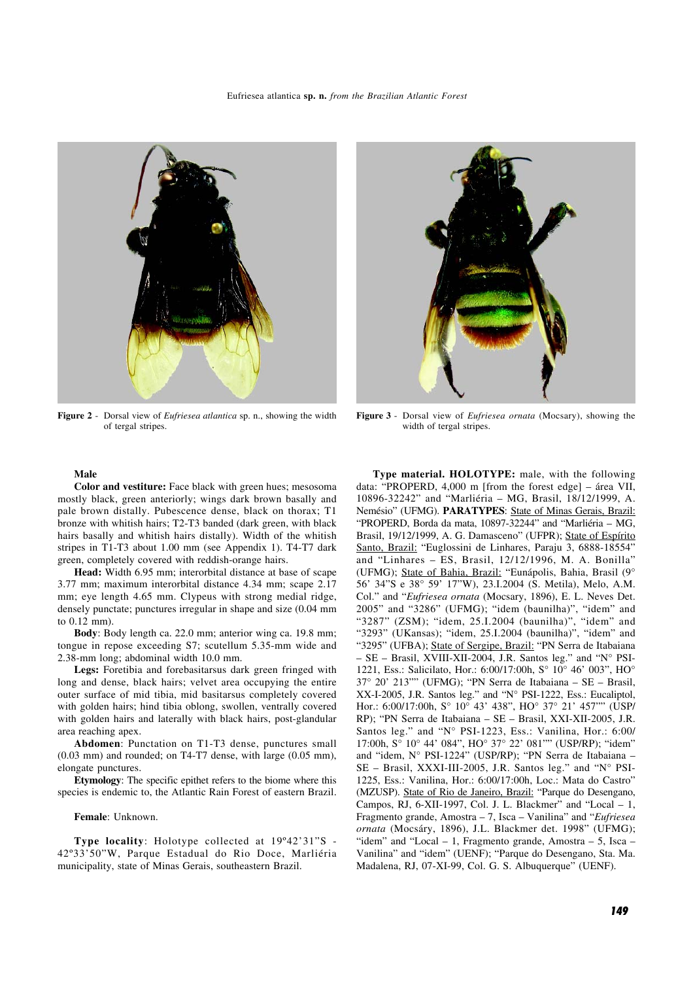

**Figure 2** - Dorsal view of *Eufriesea atlantica* sp. n., showing the width of tergal stripes.



**Figure 3** - Dorsal view of *Eufriesea ornata* (Mocsary), showing the width of tergal stripes.

## **Male**

**Color and vestiture:** Face black with green hues; mesosoma mostly black, green anteriorly; wings dark brown basally and pale brown distally. Pubescence dense, black on thorax; T1 bronze with whitish hairs; T2-T3 banded (dark green, with black hairs basally and whitish hairs distally). Width of the whitish stripes in T1-T3 about 1.00 mm (see Appendix 1). T4-T7 dark green, completely covered with reddish-orange hairs.

**Head:** Width 6.95 mm; interorbital distance at base of scape 3.77 mm; maximum interorbital distance 4.34 mm; scape 2.17 mm; eye length 4.65 mm. Clypeus with strong medial ridge, densely punctate; punctures irregular in shape and size (0.04 mm to 0.12 mm).

**Body**: Body length ca. 22.0 mm; anterior wing ca. 19.8 mm; tongue in repose exceeding S7; scutellum 5.35-mm wide and 2.38-mm long; abdominal width 10.0 mm.

**Legs:** Foretibia and forebasitarsus dark green fringed with long and dense, black hairs; velvet area occupying the entire outer surface of mid tibia, mid basitarsus completely covered with golden hairs; hind tibia oblong, swollen, ventrally covered with golden hairs and laterally with black hairs, post-glandular area reaching apex.

**Abdomen**: Punctation on T1-T3 dense, punctures small (0.03 mm) and rounded; on T4-T7 dense, with large (0.05 mm), elongate punctures.

**Etymology**: The specific epithet refers to the biome where this species is endemic to, the Atlantic Rain Forest of eastern Brazil.

#### **Female**: Unknown.

**Type locality**: Holotype collected at 19º42'31"S - 42º33'50"W, Parque Estadual do Rio Doce, Marliéria municipality, state of Minas Gerais, southeastern Brazil.

**Type material. HOLOTYPE:** male, with the following data: "PROPERD, 4,000 m [from the forest edge] – área VII, 10896-32242" and "Marliéria – MG, Brasil, 18/12/1999, A. Nemésio" (UFMG). **PARATYPES**: State of Minas Gerais, Brazil: "PROPERD, Borda da mata, 10897-32244" and "Marliéria – MG, Brasil, 19/12/1999, A. G. Damasceno" (UFPR); State of Espírito Santo, Brazil: "Euglossini de Linhares, Paraju 3, 6888-18554" and "Linhares – ES, Brasil, 12/12/1996, M. A. Bonilla" (UFMG); State of Bahia, Brazil: "Eunápolis, Bahia, Brasil (9° 56' 34"S e 38° 59' 17"W), 23.I.2004 (S. Metila), Melo, A.M. Col." and "*Eufriesea ornata* (Mocsary, 1896), E. L. Neves Det. 2005" and "3286" (UFMG); "idem (baunilha)", "idem" and "3287" (ZSM); "idem, 25.I.2004 (baunilha)", "idem" and "3293" (UKansas); "idem, 25.I.2004 (baunilha)", "idem" and "3295" (UFBA); State of Sergipe, Brazil: "PN Serra de Itabaiana – SE – Brasil, XVIII-XII-2004, J.R. Santos leg." and "N° PSI-1221, Ess.: Salicilato, Hor.: 6:00/17:00h, S° 10° 46' 003", HO° 37° 20' 213"" (UFMG); "PN Serra de Itabaiana – SE – Brasil, XX-I-2005, J.R. Santos leg." and "N° PSI-1222, Ess.: Eucaliptol, Hor.: 6:00/17:00h, S° 10° 43' 438", HO° 37° 21' 457"" (USP/ RP); "PN Serra de Itabaiana – SE – Brasil, XXI-XII-2005, J.R. Santos leg." and "N° PSI-1223, Ess.: Vanilina, Hor.: 6:00/ 17:00h, S° 10° 44' 084", HO° 37° 22' 081"" (USP/RP); "idem" and "idem, N° PSI-1224" (USP/RP); "PN Serra de Itabaiana – SE – Brasil, XXXI-III-2005, J.R. Santos leg." and "N° PSI-1225, Ess.: Vanilina, Hor.: 6:00/17:00h, Loc.: Mata do Castro" (MZUSP). State of Rio de Janeiro, Brazil: "Parque do Desengano, Campos, RJ, 6-XII-1997, Col. J. L. Blackmer" and "Local  $-1$ , Fragmento grande, Amostra – 7, Isca – Vanilina" and "*Eufriesea ornata* (Mocsáry, 1896), J.L. Blackmer det. 1998" (UFMG); "idem" and "Local  $-1$ , Fragmento grande, Amostra  $-5$ , Isca  $-$ Vanilina" and "idem" (UENF); "Parque do Desengano, Sta. Ma. Madalena, RJ, 07-XI-99, Col. G. S. Albuquerque" (UENF).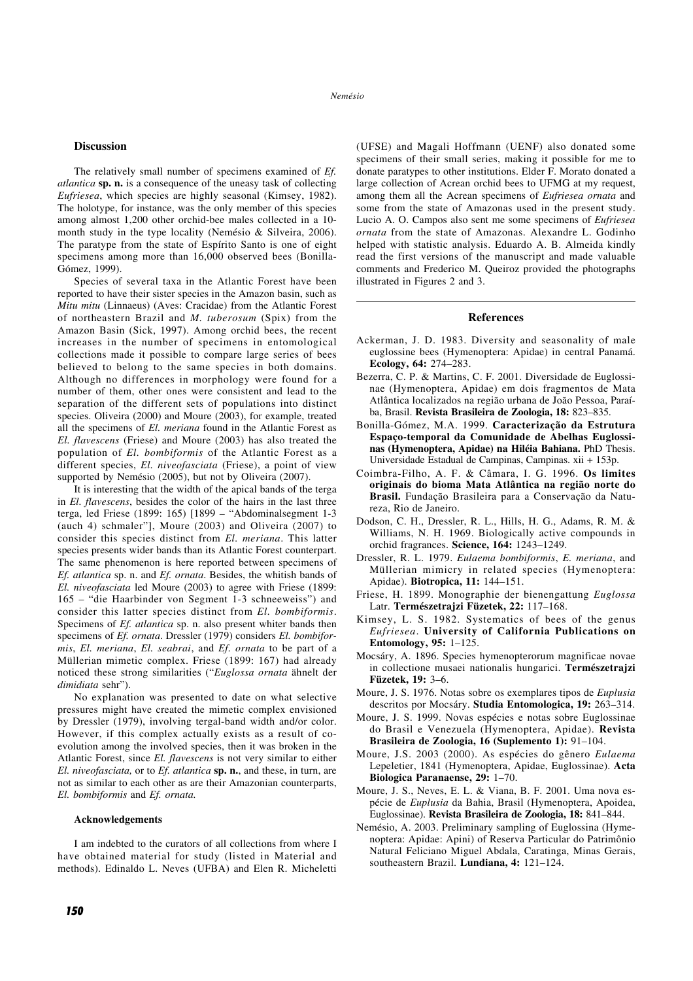## **Discussion**

The relatively small number of specimens examined of *Ef. atlantica* **sp. n.** is a consequence of the uneasy task of collecting *Eufriesea*, which species are highly seasonal (Kimsey, 1982). The holotype, for instance, was the only member of this species among almost 1,200 other orchid-bee males collected in a 10 month study in the type locality (Nemésio & Silveira, 2006). The paratype from the state of Espírito Santo is one of eight specimens among more than 16,000 observed bees (Bonilla-Gómez, 1999).

Species of several taxa in the Atlantic Forest have been reported to have their sister species in the Amazon basin, such as *Mitu mitu* (Linnaeus) (Aves: Cracidae) from the Atlantic Forest of northeastern Brazil and *M. tuberosum* (Spix) from the Amazon Basin (Sick, 1997). Among orchid bees, the recent increases in the number of specimens in entomological collections made it possible to compare large series of bees believed to belong to the same species in both domains. Although no differences in morphology were found for a number of them, other ones were consistent and lead to the separation of the different sets of populations into distinct species. Oliveira (2000) and Moure (2003), for example, treated all the specimens of *El. meriana* found in the Atlantic Forest as *El. flavescens* (Friese) and Moure (2003) has also treated the population of *El. bombiformis* of the Atlantic Forest as a different species, *El. niveofasciata* (Friese), a point of view supported by Nemésio (2005), but not by Oliveira (2007).

It is interesting that the width of the apical bands of the terga in *El. flavescens*, besides the color of the hairs in the last three terga, led Friese (1899: 165) [1899 – "Abdominalsegment 1-3 (auch 4) schmaler"], Moure (2003) and Oliveira (2007) to consider this species distinct from *El. meriana*. This latter species presents wider bands than its Atlantic Forest counterpart. The same phenomenon is here reported between specimens of *Ef. atlantica* sp. n. and *Ef. ornata*. Besides, the whitish bands of *El. niveofasciata* led Moure (2003) to agree with Friese (1899: 165 – "die Haarbinder von Segment 1-3 schneeweiss") and consider this latter species distinct from *El. bombiformis*. Specimens of *Ef. atlantica* sp. n. also present whiter bands then specimens of *Ef. ornata*. Dressler (1979) considers *El. bombiformis*, *El. meriana*, *El. seabrai*, and *Ef. ornata* to be part of a Müllerian mimetic complex. Friese (1899: 167) had already noticed these strong similarities ("*Euglossa ornata* ähnelt der *dimidiata* sehr").

No explanation was presented to date on what selective pressures might have created the mimetic complex envisioned by Dressler (1979), involving tergal-band width and/or color. However, if this complex actually exists as a result of coevolution among the involved species, then it was broken in the Atlantic Forest, since *El. flavescens* is not very similar to either *El. niveofasciata,* or to *Ef. atlantica* **sp. n.**, and these, in turn, are not as similar to each other as are their Amazonian counterparts, *El. bombiformis* and *Ef. ornata.*

#### **Acknowledgements**

I am indebted to the curators of all collections from where I have obtained material for study (listed in Material and methods). Edinaldo L. Neves (UFBA) and Elen R. Micheletti (UFSE) and Magali Hoffmann (UENF) also donated some specimens of their small series, making it possible for me to donate paratypes to other institutions. Elder F. Morato donated a large collection of Acrean orchid bees to UFMG at my request, among them all the Acrean specimens of *Eufriesea ornata* and some from the state of Amazonas used in the present study. Lucio A. O. Campos also sent me some specimens of *Eufriesea ornata* from the state of Amazonas. Alexandre L. Godinho helped with statistic analysis. Eduardo A. B. Almeida kindly read the first versions of the manuscript and made valuable comments and Frederico M. Queiroz provided the photographs illustrated in Figures 2 and 3.

## **References**

- Ackerman, J. D. 1983. Diversity and seasonality of male euglossine bees (Hymenoptera: Apidae) in central Panamá. **Ecology, 64:** 274–283.
- Bezerra, C. P. & Martins, C. F. 2001. Diversidade de Euglossinae (Hymenoptera, Apidae) em dois fragmentos de Mata Atlântica localizados na região urbana de João Pessoa, Paraíba, Brasil. **Revista Brasileira de Zoologia, 18:** 823–835.
- Bonilla-Gómez, M.A. 1999. **Caracterização da Estrutura Espaço-temporal da Comunidade de Abelhas Euglossinas (Hymenoptera, Apidae) na Hiléia Bahiana.** PhD Thesis. Universidade Estadual de Campinas, Campinas. xii + 153p.
- Coimbra-Filho, A. F. & Câmara, I. G. 1996. **Os limites originais do bioma Mata Atlântica na região norte do Brasil.** Fundação Brasileira para a Conservação da Natureza, Rio de Janeiro.
- Dodson, C. H., Dressler, R. L., Hills, H. G., Adams, R. M. & Williams, N. H. 1969. Biologically active compounds in orchid fragrances. **Science, 164:** 1243–1249.
- Dressler, R. L. 1979. *Eulaema bombiformis*, *E. meriana*, and Müllerian mimicry in related species (Hymenoptera: Apidae). **Biotropica, 11:** 144–151.
- Friese, H. 1899. Monographie der bienengattung *Euglossa* Latr. **Természetrajzi Füzetek, 22:** 117–168.
- Kimsey, L. S. 1982. Systematics of bees of the genus *Eufriesea*. **University of California Publications on Entomology, 95:** 1–125.
- Mocsáry, A. 1896. Species hymenopterorum magnificae novae in collectione musaei nationalis hungarici. **Természetrajzi Füzetek, 19:** 3–6.
- Moure, J. S. 1976. Notas sobre os exemplares tipos de *Euplusia* descritos por Mocsáry. **Studia Entomologica, 19:** 263–314.
- Moure, J. S. 1999. Novas espécies e notas sobre Euglossinae do Brasil e Venezuela (Hymenoptera, Apidae). **Revista Brasileira de Zoologia, 16 (Suplemento 1):** 91–104.
- Moure, J.S. 2003 (2000). As espécies do gênero *Eulaema* Lepeletier, 1841 (Hymenoptera, Apidae, Euglossinae). **Acta Biologica Paranaense, 29:** 1–70.
- Moure, J. S., Neves, E. L. & Viana, B. F. 2001. Uma nova espécie de *Euplusia* da Bahia, Brasil (Hymenoptera, Apoidea, Euglossinae). **Revista Brasileira de Zoologia, 18:** 841–844.
- Nemésio, A. 2003. Preliminary sampling of Euglossina (Hymenoptera: Apidae: Apini) of Reserva Particular do Patrimônio Natural Feliciano Miguel Abdala, Caratinga, Minas Gerais, southeastern Brazil. **Lundiana, 4:** 121–124.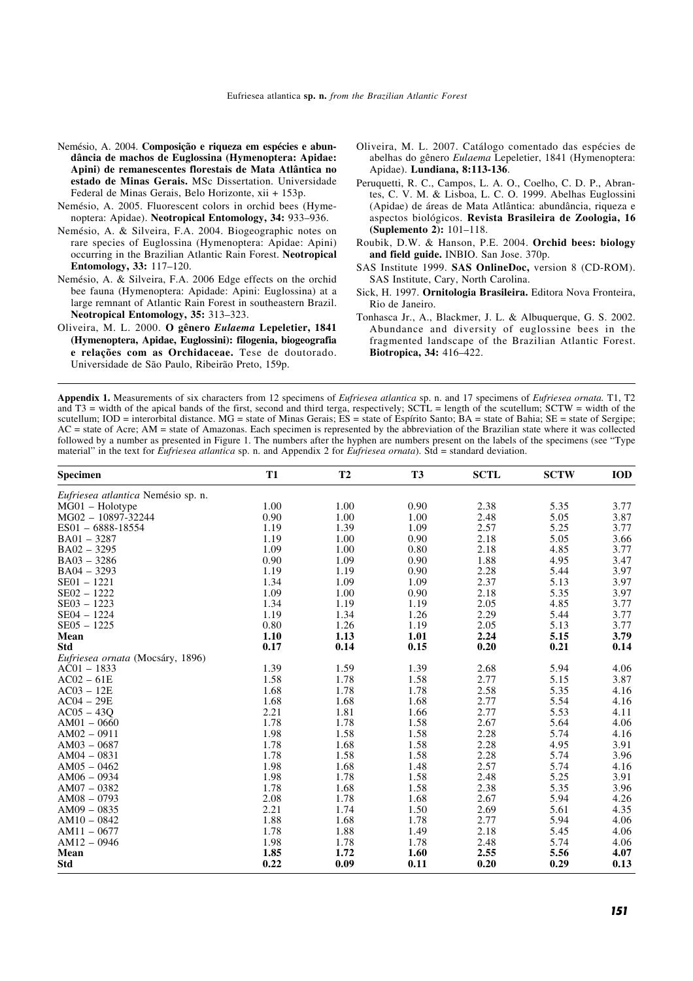- Nemésio, A. 2004. **Composição e riqueza em espécies e abundância de machos de Euglossina (Hymenoptera: Apidae: Apini) de remanescentes florestais de Mata Atlântica no estado de Minas Gerais.** MSc Dissertation. Universidade Federal de Minas Gerais, Belo Horizonte, xii + 153p.
- Nemésio, A. 2005. Fluorescent colors in orchid bees (Hymenoptera: Apidae). **Neotropical Entomology, 34:** 933–936.
- Nemésio, A. & Silveira, F.A. 2004. Biogeographic notes on rare species of Euglossina (Hymenoptera: Apidae: Apini) occurring in the Brazilian Atlantic Rain Forest. **Neotropical Entomology, 33:** 117–120.
- Nemésio, A. & Silveira, F.A. 2006 Edge effects on the orchid bee fauna (Hymenoptera: Apidade: Apini: Euglossina) at a large remnant of Atlantic Rain Forest in southeastern Brazil. **Neotropical Entomology, 35:** 313–323.
- Oliveira, M. L. 2000. **O gênero** *Eulaema* **Lepeletier, 1841 (Hymenoptera, Apidae, Euglossini): filogenia, biogeografia e relações com as Orchidaceae.** Tese de doutorado. Universidade de São Paulo, Ribeirão Preto, 159p.
- Oliveira, M. L. 2007. Catálogo comentado das espécies de abelhas do gênero *Eulaema* Lepeletier, 1841 (Hymenoptera: Apidae). **Lundiana, 8:113-136**.
- Peruquetti, R. C., Campos, L. A. O., Coelho, C. D. P., Abrantes, C. V. M. & Lisboa, L. C. O. 1999. Abelhas Euglossini (Apidae) de áreas de Mata Atlântica: abundância, riqueza e aspectos biológicos. **Revista Brasileira de Zoologia, 16 (Suplemento 2):** 101–118.
- Roubik, D.W. & Hanson, P.E. 2004. **Orchid bees: biology and field guide.** INBIO. San Jose. 370p.
- SAS Institute 1999. **SAS OnlineDoc,** version 8 (CD-ROM). SAS Institute, Cary, North Carolina.
- Sick, H. 1997. **Ornitologia Brasileira.** Editora Nova Fronteira, Rio de Janeiro.
- Tonhasca Jr., A., Blackmer, J. L. & Albuquerque, G. S. 2002. Abundance and diversity of euglossine bees in the fragmented landscape of the Brazilian Atlantic Forest. **Biotropica, 34:** 416–422.

**Appendix 1.** Measurements of six characters from 12 specimens of *Eufriesea atlantica* sp. n. and 17 specimens of *Eufriesea ornata.* T1, T2 and  $T3$  = width of the apical bands of the first, second and third terga, respectively; SCTL = length of the scutellum; SCTW = width of the scutellum; IOD = interorbital distance. MG = state of Minas Gerais;  $ES =$  state of Espírito Santo;  $BA =$  state of Bahia;  $SE =$  state of Sergipe; AC = state of Acre; AM = state of Amazonas. Each specimen is represented by the abbreviation of the Brazilian state where it was collected followed by a number as presented in Figure 1. The numbers after the hyphen are numbers present on the labels of the specimens (see "Type material" in the text for *Eufriesea atlantica* sp. n. and Appendix 2 for *Eufriesea ornata*). Std = standard deviation.

| <b>Specimen</b>                    | <b>T1</b> | T2   | T <sub>3</sub> | <b>SCTL</b> | <b>SCTW</b> | <b>IOD</b> |
|------------------------------------|-----------|------|----------------|-------------|-------------|------------|
| Eufriesea atlantica Nemésio sp. n. |           |      |                |             |             |            |
| $MG01 - Holotype$                  | 1.00      | 1.00 | 0.90           | 2.38        | 5.35        | 3.77       |
| MG02 - 10897-32244                 | 0.90      | 1.00 | 1.00           | 2.48        | 5.05        | 3.87       |
| ES01 - 6888-18554                  | 1.19      | 1.39 | 1.09           | 2.57        | 5.25        | 3.77       |
| $BA01 - 3287$                      | 1.19      | 1.00 | 0.90           | 2.18        | 5.05        | 3.66       |
| $BA02 - 3295$                      | 1.09      | 1.00 | 0.80           | 2.18        | 4.85        | 3.77       |
| $BA03 - 3286$                      | 0.90      | 1.09 | 0.90           | 1.88        | 4.95        | 3.47       |
| $BA04 - 3293$                      | 1.19      | 1.19 | 0.90           | 2.28        | 5.44        | 3.97       |
| $SE01 - 1221$                      | 1.34      | 1.09 | 1.09           | 2.37        | 5.13        | 3.97       |
| $SE02 - 1222$                      | 1.09      | 1.00 | 0.90           | 2.18        | 5.35        | 3.97       |
| $SE03 - 1223$                      | 1.34      | 1.19 | 1.19           | 2.05        | 4.85        | 3.77       |
| $SE04 - 1224$                      | 1.19      | 1.34 | 1.26           | 2.29        | 5.44        | 3.77       |
| $SE05 - 1225$                      | 0.80      | 1.26 | 1.19           | 2.05        | 5.13        | 3.77       |
| Mean                               | 1.10      | 1.13 | 1.01           | 2.24        | 5.15        | 3.79       |
| <b>Std</b>                         | 0.17      | 0.14 | 0.15           | 0.20        | 0.21        | 0.14       |
| Eufriesea ornata (Mocsáry, 1896)   |           |      |                |             |             |            |
| $AC01 - 1833$                      | 1.39      | 1.59 | 1.39           | 2.68        | 5.94        | 4.06       |
| $AC02 - 61E$                       | 1.58      | 1.78 | 1.58           | 2.77        | 5.15        | 3.87       |
| $AC03 - 12E$                       | 1.68      | 1.78 | 1.78           | 2.58        | 5.35        | 4.16       |
| $AC04 - 29E$                       | 1.68      | 1.68 | 1.68           | 2.77        | 5.54        | 4.16       |
| $AC05 - 43Q$                       | 2.21      | 1.81 | 1.66           | 2.77        | 5.53        | 4.11       |
| $AM01 - 0660$                      | 1.78      | 1.78 | 1.58           | 2.67        | 5.64        | 4.06       |
| $AM02 - 0911$                      | 1.98      | 1.58 | 1.58           | 2.28        | 5.74        | 4.16       |
| $AM03 - 0687$                      | 1.78      | 1.68 | 1.58           | 2.28        | 4.95        | 3.91       |
| $AM04 - 0831$                      | 1.78      | 1.58 | 1.58           | 2.28        | 5.74        | 3.96       |
| $AM05 - 0462$                      | 1.98      | 1.68 | 1.48           | 2.57        | 5.74        | 4.16       |
| $AM06 - 0934$                      | 1.98      | 1.78 | 1.58           | 2.48        | 5.25        | 3.91       |
| $AM07 - 0382$                      | 1.78      | 1.68 | 1.58           | 2.38        | 5.35        | 3.96       |
| $AM08 - 0793$                      | 2.08      | 1.78 | 1.68           | 2.67        | 5.94        | 4.26       |
| $AM09 - 0835$                      | 2.21      | 1.74 | 1.50           | 2.69        | 5.61        | 4.35       |
| $AM10 - 0842$                      | 1.88      | 1.68 | 1.78           | 2.77        | 5.94        | 4.06       |
| $AM11 - 0677$                      | 1.78      | 1.88 | 1.49           | 2.18        | 5.45        | 4.06       |
| $AM12 - 0946$                      | 1.98      | 1.78 | 1.78           | 2.48        | 5.74        | 4.06       |
| Mean                               | 1.85      | 1.72 | 1.60           | 2.55        | 5.56        | 4.07       |
| <b>Std</b>                         | 0.22      | 0.09 | 0.11           | 0.20        | 0.29        | 0.13       |